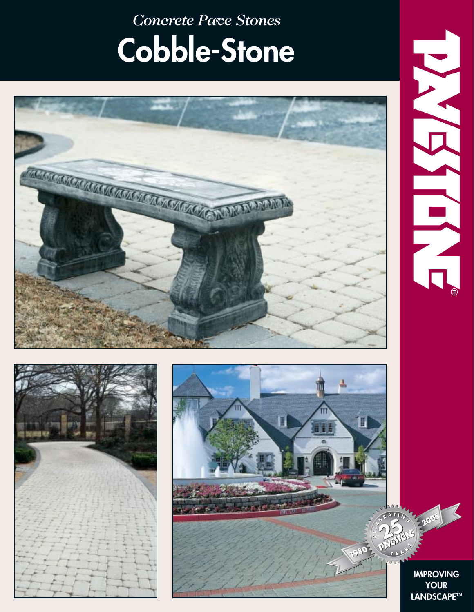*Concrete Pave Stones* **Cobble-Stone**









**IMPROVING YOUR LANDSCAPE™**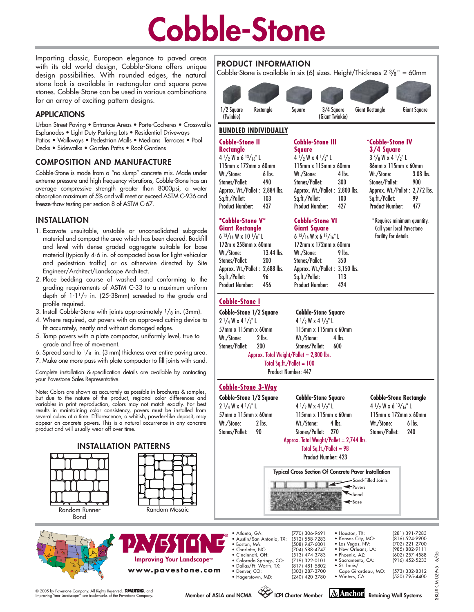# **Cobble-Stone**

1/2 Square (Twinkie)

**PRODUCT INFORMATION**

**BUNDLED INDIVIDUALLY**

Imparting classic, European elegance to paved areas with its old world design, Cobble-Stone offers unique design possibilities. With rounded edges, the natural stone look is available in rectangular and square pave stones. Cobble-Stone can be used in various combinations for an array of exciting pattern designs.

# **APPLICATIONS**

Urban Street Paving • Entrance Areas • Porte-Cocheres • Crosswalks Esplanades • Light Duty Parking Lots • Residential Driveways Patios • Walkways • Pedestrian Malls • Medians Terraces • Pool Decks • Sidewalks • Garden Paths • Roof Gardens

## **COMPOSITION AND MANUFACTURE**

Cobble-Stone is made from a "no slump" concrete mix. Made under extreme pressure and high frequency vibrations, Cobble-Stone has an average compressive strength greater than 8000psi, a water absorption maximum of 5% and will meet or exceed ASTM C-936 and freeze-thaw testing per section 8 of ASTM C-67.

### **INSTALLATION**

- 1. Excavate unsuitable, unstable or unconsolidated subgrade material and compact the area which has been cleared. Backfill and level with dense graded aggregate suitable for base material (typically 4-6 in. of compacted base for light vehicular and pedestrian traffic) or as otherwise directed by Site Engineer/Architect/Landscape Architect.
- 2. Place bedding course of washed sand conforming to the grading requirements of ASTM C-33 to a maximum uniform depth of  $1-1\frac{1}{2}$  in. (25-38mm) screeded to the grade and profile required.
- 3. Install Cobble-Stone with joints approximately  $\frac{1}{8}$  in. (3mm).
- 4. Where required, cut pavers with an approved cutting device to fit accurately, neatly and without damaged edges.
- 5. Tamp pavers with a plate compactor, uniformly level, true to grade and free of movement.
- 6. Spread sand to  $1/s$  in. (3 mm) thickness over entire paving area.
- 7. Make one more pass with plate compactor to fill joints with sand.

Complete installation & specification details are available by contacting your Pavestone Sales Representative.

Note: Colors are shown as accurately as possible in brochures & samples, but due to the nature of the product, regional color differences and variables in print reproduction, colors may not match exactly. For best results in maintaining color consistency, pavers must be installed from several cubes at a time. Efflorescence, a whitish, powder-like deposit, may appear on concrete pavers. This is a natural occurrence in any concrete product and will usually wear off over time.



# **Cobble-Stone II Cobble-Stone III \*Cobble-Stone IV Square 3/4 Square**<br>4<sup>1</sup>/<sub>2</sub> W x 4<sup>1</sup>/<sub>2</sub>" L 3<sup>3</sup>/<sub>8</sub> W x 4<sup>1</sup>/<sub>2</sub>" L  $4^{1}/2$  W  $\times$  6  $13/16$ " L  $4^{1}/2$  W  $\times$  4  $1/2$ " L  $3^{3}/8$  W  $\times$  4  $1/2$ " L<br>
115mm  $\times$  172mm  $\times$  60mm  $115$ mm  $\times$  115mm  $\times$  60mm  $115$ mm  $\times$  60mm 115mm x 172mm x 60mm 115mm x 115mm x 60mm 86mm x 115mm x 60mm Rectangle Square 3/4 Square (Giant Twinkie) Giant Rectangle Giant Square

Wt./Stone: 6 lbs. Wt./Stone: 4 lbs. Wt./Stone: 3.08 lbs. Stones/Pallet: 490 Stones/Pallet: 300 Stones/Pallet: 900 Approx. Wt./Pallet : 2,884 lbs. Approx. Wt./Pallet : 2,800 lbs. Approx. Wt./Pallet : 2,772 lbs. Sq.ft./Pallet: 103 Sq.ft./Pallet: 100 Sq.ft./Pallet: 99 Product Number: 437 Product Number: 427 Product Number: 477

> \* Requires minimum quantity. Call your local Pavestone facility for details.

**Cobble-Stone 1/2 Square Cobble-Stone Square**

172mm x 172mm x 60mm

Cobble-Stone is available in six (6) sizes. Height/Thickness  $2 \frac{3}{8}$ " = 60mm

 $2^{1}/4$  W x 4  $^{1}/2$ " | 4  $^{1}/2$  W x 4  $^{1}/2$ " | 57mm x 115mm x 60mm 115mm x 115mm x 60mm Wt./Stone: 2 lbs. Wt./Stone: 4 lbs. Stones/Pallet: 200 Stones/Pallet: 600

Approx. Total Weight/Pallet = 2,800 lbs.

Total Sa.ft./Pallet = 100 Product Number: 447

**\*Cobble-Stone V\* Cobble-Stone VI**

 $6^{13}/_{16}$  W x 10  $1/s$ " L  $6^{13}/_{16}$  W x  $6^{13}/_{16}$ " L  $172$ mm x  $172$ mm x 6

Wt./Stone: 13.44 lbs. Wt./Stone: 9 lbs. Stones/Pallet: 200 Stones/Pallet: 350 Approx. Wt./Pallet : 2,688 lbs. Approx. Wt./Pallet : 3,150 lbs. Sq.ft./Pallet: 96 Sq.ft./Pallet: 113 Product Number: 456 Product Number: 424

### **Cobble-Stone 3-Way**

**Cobble-Stone I**

**Giant Rectangle** 

 $2\frac{1}{4}$  W x 4  $\frac{1}{2}$ " L 4  $\frac{1}{2}$  W x 4  $\frac{1}{2}$ " L 4  $\frac{1}{2}$  W x 6  $\frac{13}{16}$ " L 57mm x 115mm x 60mm 115mm x 115mm x 60mm 115mm x 172mm x 60mm Wt./Stone: 2 lbs. Wt./Stone: 4 lbs. Wt./Stone: 6 lbs. Stones/Pallet: 90 Stones/Pallet: 270 Stones/Pallet: 240

### **Cobble-Stone 1/2 Square Cobble-Stone Square Cobble-Stone Rectangle**

# Approx. Total Weight/Pallet = 2,744 lbs.

|    | (281) 391-7283<br>(816) 524-9900<br>(702) 221-2700<br>(985) 882-9111<br>(602) 257-4588<br>(916) 452-5233 |
|----|----------------------------------------------------------------------------------------------------------|
| O: | (573) 332-8312<br>(530) 795-4400                                                                         |
|    |                                                                                                          |

SKU# CM 029v5 6/05

029v5 Š SKU#

 $6/05$